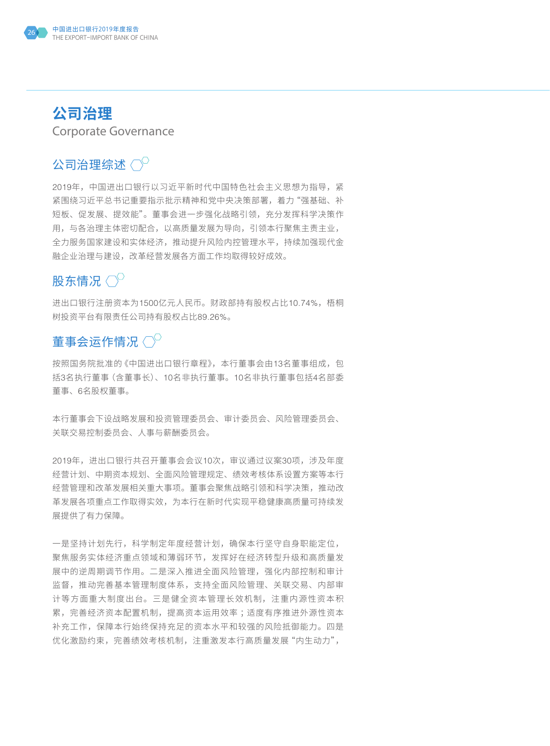

## **公司治理** Corporate Governance

# 公司治理综述 $\bigcirc^\circ$

2019年,中国进出口银行以习近平新时代中国特色社会主义思想为指导,紧 紧围绕习近平总书记重要指示批示精神和党中央决策部署,着力"强基础、补 短板、促发展、提效能"。董事会进一步强化战略引领,充分发挥科学决策作 用,与各治理主体密切配合,以高质量发展为导向,引领本行聚焦主责主业, 全力服务国家建设和实体经济,推动提升风险内控管理水平,持续加强现代金 融企业治理与建设,改革经营发展各方面工作均取得较好成效。

## 股东情况 $\langle \cdot \rangle^{\mathbb{C}}$

进出口银行注册资本为1500亿元人民币。财政部持有股权占比10.74%,梧桐 树投资平台有限责任公司持有股权占比89.26%。

## 董事会运作情况 $\langle \gamma^0 \rangle$

按照国务院批准的《中国进出口银行章程》,本行董事会由13名董事组成,包 括3名执行董事(含董事长)、10名非执行董事。10名非执行董事包括4名部委 董事、6名股权董事。

本行董事会下设战略发展和投资管理委员会、审计委员会、风险管理委员会、 关联交易控制委员会、人事与薪酬委员会。

2019年,进出口银行共召开董事会会议10次,审议通过议案30项,涉及年度 经营计划、中期资本规划、全面风险管理规定、绩效考核体系设置方案等本行 经营管理和改革发展相关重大事项。董事会聚焦战略引领和科学决策,推动改 革发展各项重点工作取得实效,为本行在新时代实现平稳健康高质量可持续发 展提供了有力保障。

一是坚持计划先行,科学制定年度经营计划,确保本行坚守自身职能定位, 聚焦服务实体经济重点领域和薄弱环节,发挥好在经济转型升级和高质量发 展中的逆周期调节作用。二是深入推进全面风险管理,强化内部控制和审计 监督,推动完善基本管理制度体系,支持全面风险管理、关联交易、内部审 计等方面重大制度出台。三是健全资本管理长效机制,注重内源性资本积 累,完善经济资本配置机制,提高资本运用效率 ;适度有序推进外源性资本 补充工作,保障本行始终保持充足的资本水平和较强的风险抵御能力。四是 优化激励约束,完善绩效考核机制,注重激发本行高质量发展"内生动力",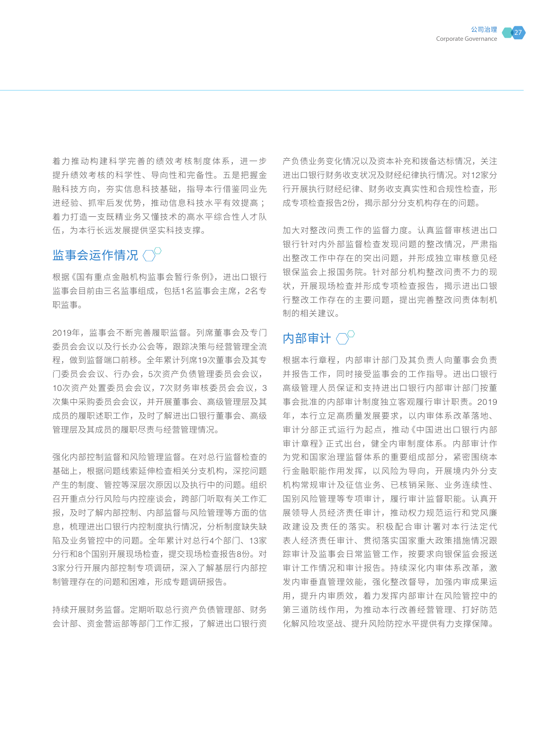着力推动构建科学完善的绩效考核制度体系,进一步 提升绩效考核的科学性、导向性和完备性。五是把握金 融科技方向,夯实信息科技基础,指导本行借鉴同业先 进经验、抓牢后发优势,推动信息科技水平有效提高 ; 着力打造一支既精业务又懂技术的高水平综合性人才队 伍,为本行长远发展提供坚实科技支撑。

# 监事会运作情况 $\bigcirc^\circ$

根据《国有重点金融机构监事会暂行条例》,进出口银行 监事会目前由三名监事组成,包括1名监事会主席,2名专 职监事。

2019年,监事会不断完善履职监督。列席董事会及专门 委员会会议以及行长办公会等,跟踪决策与经营管理全流 程,做到监督端口前移。全年累计列席19次董事会及其专 门委员会会议、行办会,5次资产负债管理委员会会议, 10次资产处置委员会会议,7次财务审核委员会会议,3 次集中采购委员会会议,并开展董事会、高级管理层及其 成员的履职述职工作,及时了解进出口银行董事会、高级 管理层及其成员的履职尽责与经营管理情况。

强化内部控制监督和风险管理监督。在对总行监督检查的 基础上,根据问题线索延伸检查相关分支机构,深挖问题 产生的制度、管控等深层次原因以及执行中的问题。组织 召开重点分行风险与内控座谈会,跨部门听取有关工作汇 报,及时了解内部控制、内部监督与风险管理等方面的信 息,梳理进出口银行内控制度执行情况,分析制度缺失缺 陷及业务管控中的问题。全年累计对总行4个部门、13家 分行和8个国别开展现场检查,提交现场检查报告8份。对 3家分行开展内部控制专项调研,深入了解基层行内部控 制管理存在的问题和困难,形成专题调研报告。

持续开展财务监督。定期听取总行资产负债管理部、财务 会计部、资金营运部等部门工作汇报,了解进出口银行资 产负债业务变化情况以及资本补充和拨备达标情况,关注 进出口银行财务收支状况及财经纪律执行情况。对12家分 行开展执行财经纪律、财务收支真实性和合规性检查,形 成专项检查报告2份,揭示部分分支机构存在的问题。

加大对整改问责工作的监督力度。认真监督审核进出口 银行针对内外部监督检查发现问题的整改情况,严肃指 出整改工作中存在的突出问题,并形成独立审核意见经 银保监会上报国务院。针对部分机构整改问责不力的现 状,开展现场检查并形成专项检查报告,揭示进出口银 行整改工作存在的主要问题,提出完善整改问责体制机 制的相关建议。

# 内部审计〈〉

根据本行章程,内部审计部门及其负责人向董事会负责 并报告工作,同时接受监事会的工作指导。进出口银行 高级管理人员保证和支持进出口银行内部审计部门按董 事会批准的内部审计制度独立客观履行审计职责。2019 年,本行立足高质量发展要求,以内审体系改革落地、 审计分部正式运行为起点,推动《中国进出口银行内部 审计章程》正式出台,健全内审制度体系。内部审计作 为党和国家治理监督体系的重要组成部分,紧密围绕本 行金融职能作用发挥,以风险为导向,开展境内外分支 机构常规审计及征信业务、已核销呆账、业务连续性、 国别风险管理等专项审计,履行审计监督职能。认真开 展领导人员经济责任审计,推动权力规范运行和党风廉 政建设及责任的落实。积极配合审计署对本行法定代 表人经济责任审计、贯彻落实国家重大政策措施情况跟 踪审计及监事会日常监管工作,按要求向银保监会报送 审计工作情况和审计报告。持续深化内审体系改革,激 发内审垂直管理效能,强化整改督导,加强内审成果运 用,提升内审质效,着力发挥内部审计在风险管控中的 第三道防线作用,为推动本行改善经营管理、打好防范 化解风险攻坚战、提升风险防控水平提供有力支撑保障。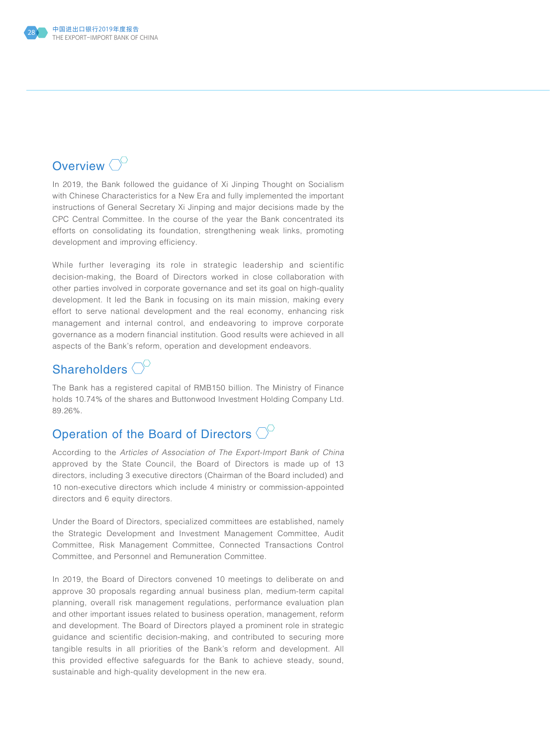

## Overview  $\bigcirc^{\circ}$

In 2019, the Bank followed the guidance of Xi Jinping Thought on Socialism with Chinese Characteristics for a New Era and fully implemented the important instructions of General Secretary Xi Jinping and major decisions made by the CPC Central Committee. In the course of the year the Bank concentrated its efforts on consolidating its foundation, strengthening weak links, promoting development and improving efficiency.

While further leveraging its role in strategic leadership and scientific decision-making, the Board of Directors worked in close collaboration with other parties involved in corporate governance and set its goal on high-quality development. It led the Bank in focusing on its main mission, making every effort to serve national development and the real economy, enhancing risk management and internal control, and endeavoring to improve corporate governance as a modern financial institution. Good results were achieved in all aspects of the Bank's reform, operation and development endeavors.

## Shareholders  $\bigcirc^{\mathbb{C}}$

The Bank has a registered capital of RMB150 billion. The Ministry of Finance holds 10.74% of the shares and Buttonwood Investment Holding Company Ltd. 89.26%.

# Operation of the Board of Directors  $\bigcirc^{\!\!\circ}$

According to the *Articles of Association of The Export-Import Bank of China* approved by the State Council, the Board of Directors is made up of 13 directors, including 3 executive directors (Chairman of the Board included) and 10 non-executive directors which include 4 ministry or commission-appointed directors and 6 equity directors.

Under the Board of Directors, specialized committees are established, namely the Strategic Development and Investment Management Committee, Audit Committee, Risk Management Committee, Connected Transactions Control Committee, and Personnel and Remuneration Committee.

In 2019, the Board of Directors convened 10 meetings to deliberate on and approve 30 proposals regarding annual business plan, medium-term capital planning, overall risk management regulations, performance evaluation plan and other important issues related to business operation, management, reform and development. The Board of Directors played a prominent role in strategic guidance and scientific decision-making, and contributed to securing more tangible results in all priorities of the Bank's reform and development. All this provided effective safeguards for the Bank to achieve steady, sound, sustainable and high-quality development in the new era.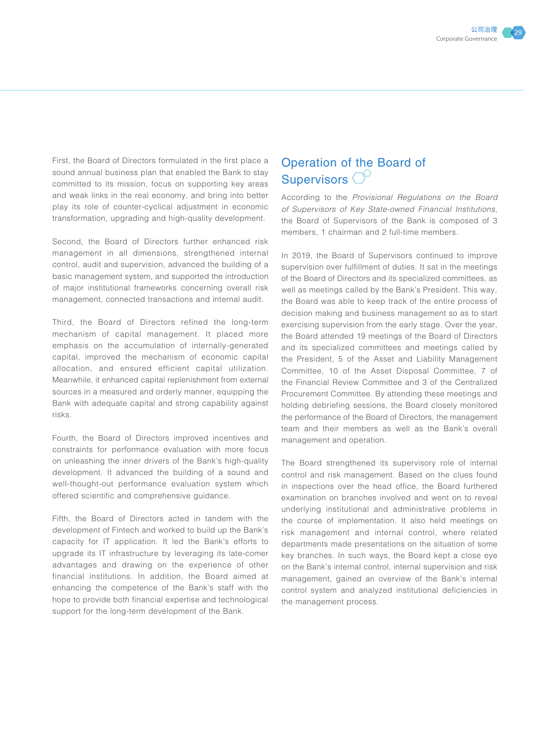First, the Board of Directors formulated in the first place a sound annual business plan that enabled the Bank to stay committed to its mission, focus on supporting key areas and weak links in the real economy, and bring into better play its role of counter-cyclical adjustment in economic transformation, upgrading and high-quality development.

Second, the Board of Directors further enhanced risk management in all dimensions, strengthened internal control, audit and supervision, advanced the building of a basic management system, and supported the introduction of major institutional frameworks concerning overall risk management, connected transactions and internal audit.

Third, the Board of Directors refined the long-term mechanism of capital management. It placed more emphasis on the accumulation of internally-generated capital, improved the mechanism of economic capital allocation, and ensured efficient capital utilization. Meanwhile, it enhanced capital replenishment from external sources in a measured and orderly manner, equipping the Bank with adequate capital and strong capability against risks.

Fourth, the Board of Directors improved incentives and constraints for performance evaluation with more focus on unleashing the inner drivers of the Bank's high-quality development. It advanced the building of a sound and well-thought-out performance evaluation system which offered scientific and comprehensive guidance.

Fifth, the Board of Directors acted in tandem with the development of Fintech and worked to build up the Bank's capacity for IT application. It led the Bank's efforts to upgrade its IT infrastructure by leveraging its late-comer advantages and drawing on the experience of other financial institutions. In addition, the Board aimed at enhancing the competence of the Bank's staff with the hope to provide both financial expertise and technological support for the long-term development of the Bank.

#### Operation of the Board of Supervisors  $\bigcirc^\circ$

According to the *Provisional Regulations on the Board of Supervisors of Key State-owned Financial Institutions*, the Board of Supervisors of the Bank is composed of 3 members, 1 chairman and 2 full-time members.

In 2019, the Board of Supervisors continued to improve supervision over fulfillment of duties. It sat in the meetings of the Board of Directors and its specialized committees, as well as meetings called by the Bank's President. This way, the Board was able to keep track of the entire process of decision making and business management so as to start exercising supervision from the early stage. Over the year, the Board attended 19 meetings of the Board of Directors and its specialized committees and meetings called by the President, 5 of the Asset and Liability Management Committee, 10 of the Asset Disposal Committee, 7 of the Financial Review Committee and 3 of the Centralized Procurement Committee. By attending these meetings and holding debriefing sessions, the Board closely monitored the performance of the Board of Directors, the management team and their members as well as the Bank's overall management and operation.

The Board strengthened its supervisory role of internal control and risk management. Based on the clues found in inspections over the head office, the Board furthered examination on branches involved and went on to reveal underlying institutional and administrative problems in the course of implementation. It also held meetings on risk management and internal control, where related departments made presentations on the situation of some key branches. In such ways, the Board kept a close eye on the Bank's internal control, internal supervision and risk management, gained an overview of the Bank's internal control system and analyzed institutional deficiencies in the management process.